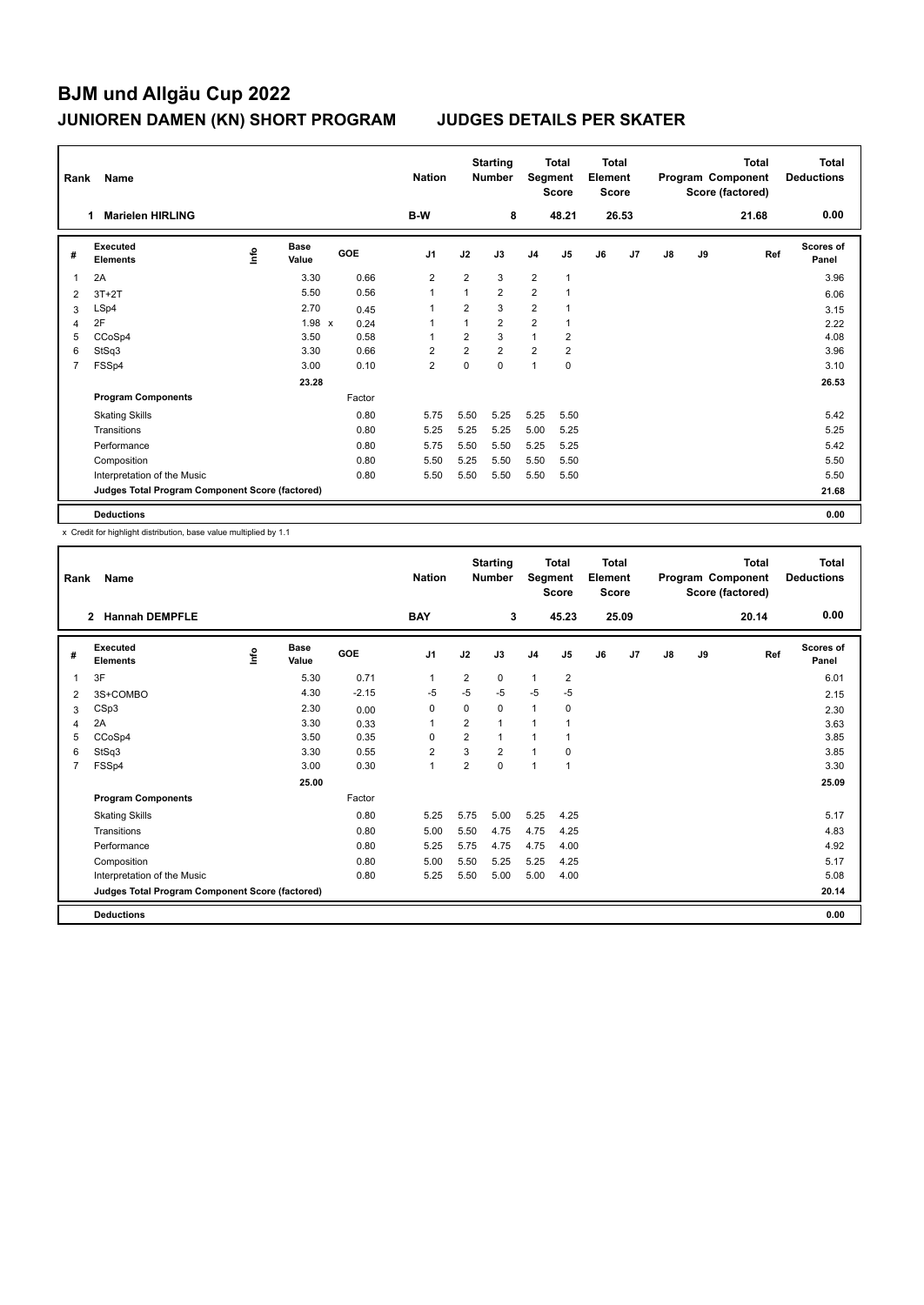| Rank           | Name                                            |    |                      |            |        | <b>Nation</b>  |                | <b>Starting</b><br><b>Number</b> | Segment        | <b>Total</b><br><b>Score</b> | <b>Total</b><br>Element<br><b>Score</b> |       |               |    | <b>Total</b><br>Program Component<br>Score (factored) | Total<br><b>Deductions</b> |
|----------------|-------------------------------------------------|----|----------------------|------------|--------|----------------|----------------|----------------------------------|----------------|------------------------------|-----------------------------------------|-------|---------------|----|-------------------------------------------------------|----------------------------|
|                | <b>Marielen HIRLING</b>                         |    |                      |            |        | B-W            |                | 8                                |                | 48.21                        |                                         | 26.53 |               |    | 21.68                                                 | 0.00                       |
| #              | Executed<br><b>Elements</b>                     | ۴ů | <b>Base</b><br>Value | <b>GOE</b> |        | J <sub>1</sub> | J2             | J3                               | J <sub>4</sub> | J <sub>5</sub>               | J6                                      | J7    | $\mathsf{J}8$ | J9 | Ref                                                   | <b>Scores of</b><br>Panel  |
| 1              | 2A                                              |    | 3.30                 |            | 0.66   | $\overline{2}$ | $\overline{2}$ | 3                                | $\overline{2}$ | $\mathbf{1}$                 |                                         |       |               |    |                                                       | 3.96                       |
| 2              | $3T+2T$                                         |    | 5.50                 |            | 0.56   | $\overline{1}$ | $\mathbf{1}$   | $\overline{2}$                   | $\overline{2}$ |                              |                                         |       |               |    |                                                       | 6.06                       |
| 3              | LSp4                                            |    | 2.70                 |            | 0.45   | 1              | 2              | 3                                | 2              |                              |                                         |       |               |    |                                                       | 3.15                       |
| 4              | 2F                                              |    | $1.98 \times$        |            | 0.24   | 1              | $\mathbf{1}$   | $\overline{2}$                   | $\overline{2}$ |                              |                                         |       |               |    |                                                       | 2.22                       |
| 5              | CCoSp4                                          |    | 3.50                 |            | 0.58   | -1             | $\overline{2}$ | 3                                | $\mathbf{1}$   | $\overline{2}$               |                                         |       |               |    |                                                       | 4.08                       |
| 6              | StSq3                                           |    | 3.30                 |            | 0.66   | $\overline{2}$ | $\overline{2}$ | $\overline{2}$                   | $\overline{2}$ | $\overline{2}$               |                                         |       |               |    |                                                       | 3.96                       |
| $\overline{7}$ | FSSp4                                           |    | 3.00                 |            | 0.10   | $\overline{2}$ | $\pmb{0}$      | $\mathbf 0$                      | 1              | $\pmb{0}$                    |                                         |       |               |    |                                                       | 3.10                       |
|                |                                                 |    | 23.28                |            |        |                |                |                                  |                |                              |                                         |       |               |    |                                                       | 26.53                      |
|                | <b>Program Components</b>                       |    |                      |            | Factor |                |                |                                  |                |                              |                                         |       |               |    |                                                       |                            |
|                | <b>Skating Skills</b>                           |    |                      |            | 0.80   | 5.75           | 5.50           | 5.25                             | 5.25           | 5.50                         |                                         |       |               |    |                                                       | 5.42                       |
|                | Transitions                                     |    |                      |            | 0.80   | 5.25           | 5.25           | 5.25                             | 5.00           | 5.25                         |                                         |       |               |    |                                                       | 5.25                       |
|                | Performance                                     |    |                      |            | 0.80   | 5.75           | 5.50           | 5.50                             | 5.25           | 5.25                         |                                         |       |               |    |                                                       | 5.42                       |
|                | Composition                                     |    |                      |            | 0.80   | 5.50           | 5.25           | 5.50                             | 5.50           | 5.50                         |                                         |       |               |    |                                                       | 5.50                       |
|                | Interpretation of the Music                     |    |                      |            | 0.80   | 5.50           | 5.50           | 5.50                             | 5.50           | 5.50                         |                                         |       |               |    |                                                       | 5.50                       |
|                | Judges Total Program Component Score (factored) |    |                      |            |        |                |                |                                  |                |                              |                                         |       |               |    |                                                       | 21.68                      |
|                | <b>Deductions</b>                               |    |                      |            |        |                |                |                                  |                |                              |                                         |       |               |    |                                                       | 0.00                       |

x Credit for highlight distribution, base value multiplied by 1.1

| Rank           | Name                                            |      |                      |         | <b>Nation</b>  |                | <b>Starting</b><br><b>Number</b> | Segment        | <b>Total</b><br><b>Score</b> | <b>Total</b><br>Element<br><b>Score</b> |       |    |    | <b>Total</b><br>Program Component<br>Score (factored) | <b>Total</b><br><b>Deductions</b> |
|----------------|-------------------------------------------------|------|----------------------|---------|----------------|----------------|----------------------------------|----------------|------------------------------|-----------------------------------------|-------|----|----|-------------------------------------------------------|-----------------------------------|
|                | <b>Hannah DEMPFLE</b><br>$\overline{2}$         |      |                      |         | <b>BAY</b>     |                | 3                                |                | 45.23                        |                                         | 25.09 |    |    | 20.14                                                 | 0.00                              |
| #              | Executed<br><b>Elements</b>                     | lnfo | <b>Base</b><br>Value | GOE     | J <sub>1</sub> | J2             | J3                               | J <sub>4</sub> | J5                           | J6                                      | J7    | J8 | J9 | Ref                                                   | Scores of<br>Panel                |
| 1              | 3F                                              |      | 5.30                 | 0.71    | 1              | $\overline{2}$ | $\Omega$                         | $\mathbf{1}$   | $\overline{2}$               |                                         |       |    |    |                                                       | 6.01                              |
| 2              | 3S+COMBO                                        |      | 4.30                 | $-2.15$ | $-5$           | $-5$           | $-5$                             | $-5$           | $-5$                         |                                         |       |    |    |                                                       | 2.15                              |
| 3              | CSp3                                            |      | 2.30                 | 0.00    | 0              | 0              | 0                                | $\mathbf{1}$   | 0                            |                                         |       |    |    |                                                       | 2.30                              |
| 4              | 2A                                              |      | 3.30                 | 0.33    | $\mathbf{1}$   | $\overline{2}$ | 1                                | 1              |                              |                                         |       |    |    |                                                       | 3.63                              |
| 5              | CCoSp4                                          |      | 3.50                 | 0.35    | 0              | $\overline{2}$ | 1                                | $\overline{1}$ |                              |                                         |       |    |    |                                                       | 3.85                              |
| 6              | StSq3                                           |      | 3.30                 | 0.55    | $\overline{2}$ | 3              | $\overline{2}$                   | $\mathbf{1}$   | 0                            |                                         |       |    |    |                                                       | 3.85                              |
| $\overline{7}$ | FSSp4                                           |      | 3.00                 | 0.30    | $\mathbf{1}$   | $\overline{2}$ | 0                                | $\overline{1}$ | 1                            |                                         |       |    |    |                                                       | 3.30                              |
|                |                                                 |      | 25.00                |         |                |                |                                  |                |                              |                                         |       |    |    |                                                       | 25.09                             |
|                | <b>Program Components</b>                       |      |                      | Factor  |                |                |                                  |                |                              |                                         |       |    |    |                                                       |                                   |
|                | <b>Skating Skills</b>                           |      |                      | 0.80    | 5.25           | 5.75           | 5.00                             | 5.25           | 4.25                         |                                         |       |    |    |                                                       | 5.17                              |
|                | Transitions                                     |      |                      | 0.80    | 5.00           | 5.50           | 4.75                             | 4.75           | 4.25                         |                                         |       |    |    |                                                       | 4.83                              |
|                | Performance                                     |      |                      | 0.80    | 5.25           | 5.75           | 4.75                             | 4.75           | 4.00                         |                                         |       |    |    |                                                       | 4.92                              |
|                | Composition                                     |      |                      | 0.80    | 5.00           | 5.50           | 5.25                             | 5.25           | 4.25                         |                                         |       |    |    |                                                       | 5.17                              |
|                | Interpretation of the Music                     |      |                      | 0.80    | 5.25           | 5.50           | 5.00                             | 5.00           | 4.00                         |                                         |       |    |    |                                                       | 5.08                              |
|                | Judges Total Program Component Score (factored) |      |                      |         |                |                |                                  |                |                              |                                         |       |    |    |                                                       | 20.14                             |
|                | <b>Deductions</b>                               |      |                      |         |                |                |                                  |                |                              |                                         |       |    |    |                                                       | 0.00                              |
|                |                                                 |      |                      |         |                |                |                                  |                |                              |                                         |       |    |    |                                                       |                                   |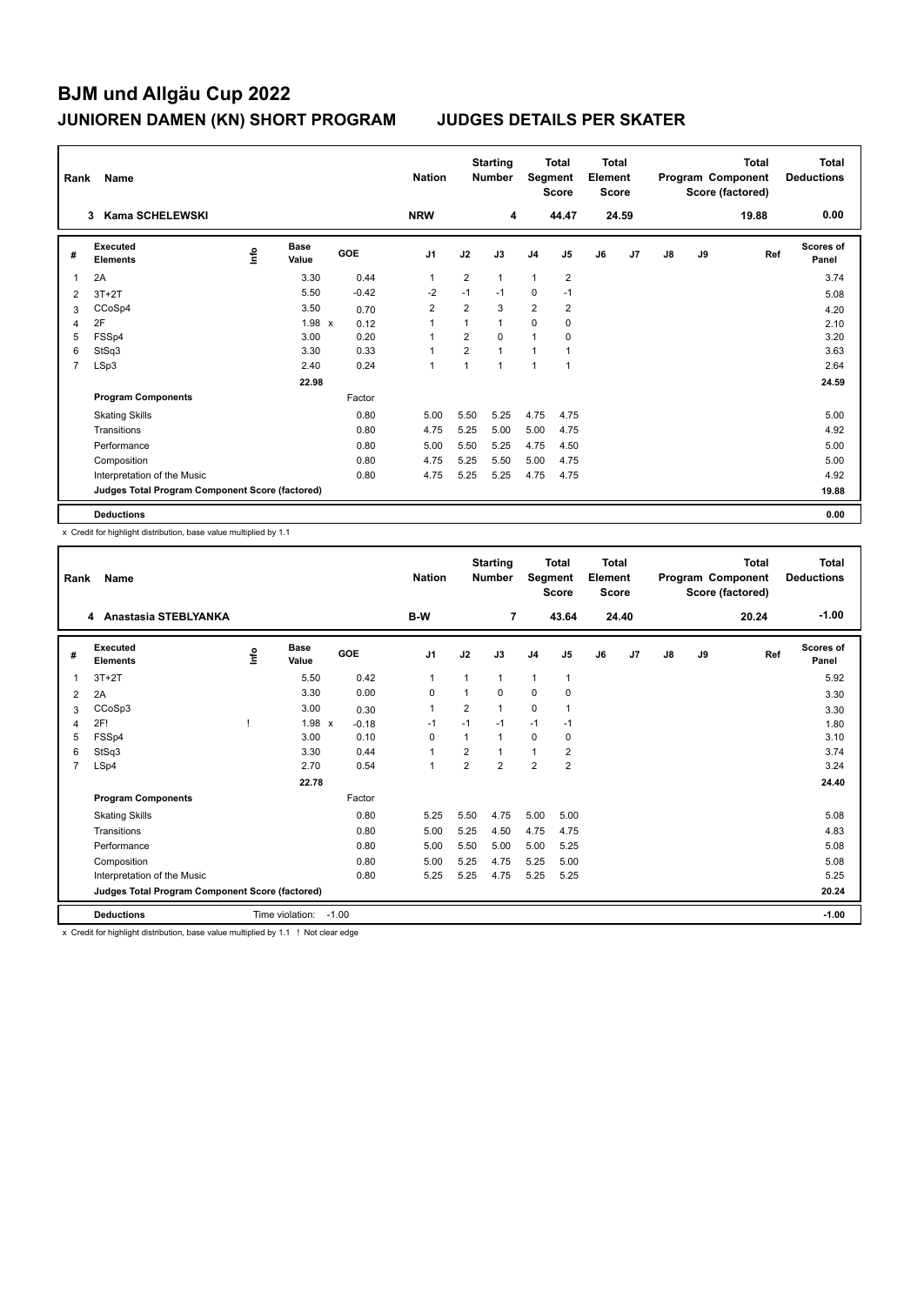| Rank | Name                                            |    |                      |            |         | <b>Nation</b>  |                | <b>Starting</b><br><b>Number</b> | Segment        | <b>Total</b><br><b>Score</b> | <b>Total</b><br>Element<br><b>Score</b> |       |               |    | <b>Total</b><br>Program Component<br>Score (factored) | Total<br><b>Deductions</b> |
|------|-------------------------------------------------|----|----------------------|------------|---------|----------------|----------------|----------------------------------|----------------|------------------------------|-----------------------------------------|-------|---------------|----|-------------------------------------------------------|----------------------------|
|      | <b>Kama SCHELEWSKI</b><br>3                     |    |                      |            |         | <b>NRW</b>     |                | 4                                |                | 44.47                        |                                         | 24.59 |               |    | 19.88                                                 | 0.00                       |
| #    | <b>Executed</b><br><b>Elements</b>              | ۴ů | <b>Base</b><br>Value | <b>GOE</b> |         | J <sub>1</sub> | J2             | J3                               | J <sub>4</sub> | J5                           | J6                                      | J7    | $\mathsf{J}8$ | J9 | Ref                                                   | <b>Scores of</b><br>Panel  |
| 1    | 2A                                              |    | 3.30                 |            | 0.44    | $\mathbf{1}$   | $\overline{2}$ | $\mathbf{1}$                     | 1              | $\overline{2}$               |                                         |       |               |    |                                                       | 3.74                       |
| 2    | $3T+2T$                                         |    | 5.50                 |            | $-0.42$ | $-2$           | $-1$           | $-1$                             | $\mathbf 0$    | $-1$                         |                                         |       |               |    |                                                       | 5.08                       |
| 3    | CCoSp4                                          |    | 3.50                 |            | 0.70    | $\overline{2}$ | 2              | 3                                | 2              | 2                            |                                         |       |               |    |                                                       | 4.20                       |
| 4    | 2F                                              |    | $1.98 \times$        |            | 0.12    | 1              | 1              | $\mathbf{1}$                     | 0              | 0                            |                                         |       |               |    |                                                       | 2.10                       |
| 5    | FSSp4                                           |    | 3.00                 |            | 0.20    | 1              | $\overline{2}$ | $\Omega$                         | 1              | $\mathbf 0$                  |                                         |       |               |    |                                                       | 3.20                       |
| 6    | StSq3                                           |    | 3.30                 |            | 0.33    | 1              | $\overline{2}$ | $\mathbf{1}$                     | 1              |                              |                                         |       |               |    |                                                       | 3.63                       |
| 7    | LSp3                                            |    | 2.40                 |            | 0.24    | $\overline{1}$ | $\mathbf{1}$   | 1                                | 1              | $\mathbf{1}$                 |                                         |       |               |    |                                                       | 2.64                       |
|      |                                                 |    | 22.98                |            |         |                |                |                                  |                |                              |                                         |       |               |    |                                                       | 24.59                      |
|      | <b>Program Components</b>                       |    |                      |            | Factor  |                |                |                                  |                |                              |                                         |       |               |    |                                                       |                            |
|      | <b>Skating Skills</b>                           |    |                      |            | 0.80    | 5.00           | 5.50           | 5.25                             | 4.75           | 4.75                         |                                         |       |               |    |                                                       | 5.00                       |
|      | Transitions                                     |    |                      |            | 0.80    | 4.75           | 5.25           | 5.00                             | 5.00           | 4.75                         |                                         |       |               |    |                                                       | 4.92                       |
|      | Performance                                     |    |                      |            | 0.80    | 5.00           | 5.50           | 5.25                             | 4.75           | 4.50                         |                                         |       |               |    |                                                       | 5.00                       |
|      | Composition                                     |    |                      |            | 0.80    | 4.75           | 5.25           | 5.50                             | 5.00           | 4.75                         |                                         |       |               |    |                                                       | 5.00                       |
|      | Interpretation of the Music                     |    |                      |            | 0.80    | 4.75           | 5.25           | 5.25                             | 4.75           | 4.75                         |                                         |       |               |    |                                                       | 4.92                       |
|      | Judges Total Program Component Score (factored) |    |                      |            |         |                |                |                                  |                |                              |                                         |       |               |    |                                                       | 19.88                      |
|      | <b>Deductions</b>                               |    |                      |            |         |                |                |                                  |                |                              |                                         |       |               |    |                                                       | 0.00                       |

x Credit for highlight distribution, base value multiplied by 1.1

| Rank           | Name                                            |      |                      |            | <b>Nation</b>  |                | <b>Starting</b><br><b>Number</b> | Segment        | <b>Total</b><br><b>Score</b> | <b>Total</b><br>Element<br><b>Score</b> |                |               |    | <b>Total</b><br>Program Component<br>Score (factored) | <b>Total</b><br><b>Deductions</b> |
|----------------|-------------------------------------------------|------|----------------------|------------|----------------|----------------|----------------------------------|----------------|------------------------------|-----------------------------------------|----------------|---------------|----|-------------------------------------------------------|-----------------------------------|
|                | 4 Anastasia STEBLYANKA                          |      |                      |            | <b>B-W</b>     |                | 7                                |                | 43.64                        |                                         | 24.40          |               |    | 20.24                                                 | $-1.00$                           |
| #              | Executed<br><b>Elements</b>                     | ١nf٥ | <b>Base</b><br>Value | <b>GOE</b> | J <sub>1</sub> | J2             | J3                               | J <sub>4</sub> | J <sub>5</sub>               | J6                                      | J <sub>7</sub> | $\mathsf{J}8$ | J9 | Ref                                                   | <b>Scores of</b><br>Panel         |
| 1              | $3T+2T$                                         |      | 5.50                 | 0.42       | $\mathbf{1}$   | 1              | 1                                | $\mathbf{1}$   | 1                            |                                         |                |               |    |                                                       | 5.92                              |
| 2              | 2A                                              |      | 3.30                 | 0.00       | $\mathbf 0$    | 1              | $\Omega$                         | $\mathbf 0$    | 0                            |                                         |                |               |    |                                                       | 3.30                              |
| 3              | CCoSp3                                          |      | 3.00                 | 0.30       | $\mathbf{1}$   | 2              | 1                                | $\mathbf 0$    | 1                            |                                         |                |               |    |                                                       | 3.30                              |
| $\overline{4}$ | 2F!                                             |      | 1.98 x               | $-0.18$    | $-1$           | $-1$           | $-1$                             | $-1$           | $-1$                         |                                         |                |               |    |                                                       | 1.80                              |
| 5              | FSSp4                                           |      | 3.00                 | 0.10       | $\Omega$       | 1              | 1                                | 0              | $\Omega$                     |                                         |                |               |    |                                                       | 3.10                              |
| 6              | StSq3                                           |      | 3.30                 | 0.44       | $\mathbf{1}$   | 2              | 1                                | $\mathbf{1}$   | $\overline{2}$               |                                         |                |               |    |                                                       | 3.74                              |
| 7              | LSp4                                            |      | 2.70                 | 0.54       | $\mathbf{1}$   | $\overline{2}$ | $\overline{2}$                   | $\overline{2}$ | $\overline{2}$               |                                         |                |               |    |                                                       | 3.24                              |
|                |                                                 |      | 22.78                |            |                |                |                                  |                |                              |                                         |                |               |    |                                                       | 24.40                             |
|                | <b>Program Components</b>                       |      |                      | Factor     |                |                |                                  |                |                              |                                         |                |               |    |                                                       |                                   |
|                | <b>Skating Skills</b>                           |      |                      | 0.80       | 5.25           | 5.50           | 4.75                             | 5.00           | 5.00                         |                                         |                |               |    |                                                       | 5.08                              |
|                | Transitions                                     |      |                      | 0.80       | 5.00           | 5.25           | 4.50                             | 4.75           | 4.75                         |                                         |                |               |    |                                                       | 4.83                              |
|                | Performance                                     |      |                      | 0.80       | 5.00           | 5.50           | 5.00                             | 5.00           | 5.25                         |                                         |                |               |    |                                                       | 5.08                              |
|                | Composition                                     |      |                      | 0.80       | 5.00           | 5.25           | 4.75                             | 5.25           | 5.00                         |                                         |                |               |    |                                                       | 5.08                              |
|                | Interpretation of the Music                     |      |                      | 0.80       | 5.25           | 5.25           | 4.75                             | 5.25           | 5.25                         |                                         |                |               |    |                                                       | 5.25                              |
|                | Judges Total Program Component Score (factored) |      |                      |            |                |                |                                  |                |                              |                                         |                |               |    |                                                       | 20.24                             |
|                | <b>Deductions</b>                               |      | Time violation:      | $-1.00$    |                |                |                                  |                |                              |                                         |                |               |    |                                                       | $-1.00$                           |

x Credit for highlight distribution, base value multiplied by 1.1 ! Not clear edge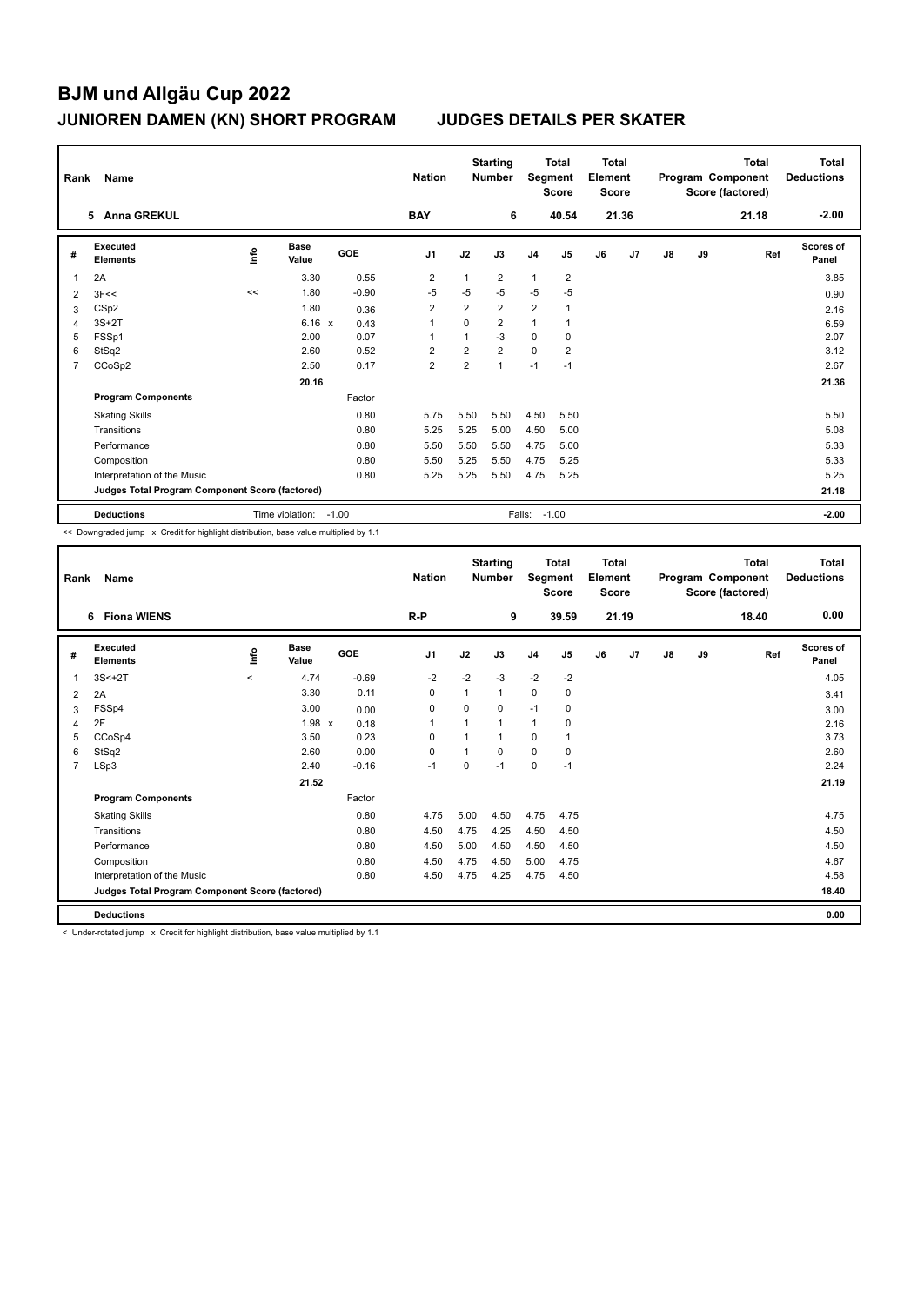| Rank           | Name                                            |    |                      |            | <b>Nation</b>  |                | <b>Starting</b><br><b>Number</b> | Segment        | <b>Total</b><br><b>Score</b> | <b>Total</b><br>Element<br><b>Score</b> |       |    |    | <b>Total</b><br>Program Component<br>Score (factored) | Total<br><b>Deductions</b> |
|----------------|-------------------------------------------------|----|----------------------|------------|----------------|----------------|----------------------------------|----------------|------------------------------|-----------------------------------------|-------|----|----|-------------------------------------------------------|----------------------------|
|                | <b>Anna GREKUL</b><br>5.                        |    |                      |            | <b>BAY</b>     |                | 6                                |                | 40.54                        |                                         | 21.36 |    |    | 21.18                                                 | $-2.00$                    |
| #              | Executed<br><b>Elements</b>                     | ۴ů | <b>Base</b><br>Value | <b>GOE</b> | J <sub>1</sub> | J2             | J3                               | J <sub>4</sub> | J5                           | J6                                      | J7    | J8 | J9 | Ref                                                   | <b>Scores of</b><br>Panel  |
| 1              | 2A                                              |    | 3.30                 | 0.55       | $\overline{2}$ | $\mathbf{1}$   | $\overline{2}$                   | $\mathbf{1}$   | $\overline{2}$               |                                         |       |    |    |                                                       | 3.85                       |
| $\overline{2}$ | 3F<<                                            | << | 1.80                 | $-0.90$    | $-5$           | $-5$           | $-5$                             | $-5$           | $-5$                         |                                         |       |    |    |                                                       | 0.90                       |
| 3              | CSp2                                            |    | 1.80                 | 0.36       | 2              | $\overline{2}$ | $\overline{2}$                   | $\overline{2}$ |                              |                                         |       |    |    |                                                       | 2.16                       |
| 4              | $3S+2T$                                         |    | $6.16 \times$        | 0.43       | 1              | $\Omega$       | $\overline{2}$                   | $\mathbf{1}$   |                              |                                         |       |    |    |                                                       | 6.59                       |
| 5              | FSSp1                                           |    | 2.00                 | 0.07       | $\overline{1}$ | $\mathbf{1}$   | $-3$                             | $\Omega$       | 0                            |                                         |       |    |    |                                                       | 2.07                       |
| 6              | StSq2                                           |    | 2.60                 | 0.52       | $\overline{2}$ | $\overline{2}$ | $\overline{2}$                   | $\mathbf 0$    | $\overline{2}$               |                                         |       |    |    |                                                       | 3.12                       |
| 7              | CCoSp2                                          |    | 2.50                 | 0.17       | $\overline{2}$ | $\overline{2}$ | $\overline{1}$                   | $-1$           | $-1$                         |                                         |       |    |    |                                                       | 2.67                       |
|                |                                                 |    | 20.16                |            |                |                |                                  |                |                              |                                         |       |    |    |                                                       | 21.36                      |
|                | <b>Program Components</b>                       |    |                      | Factor     |                |                |                                  |                |                              |                                         |       |    |    |                                                       |                            |
|                | <b>Skating Skills</b>                           |    |                      | 0.80       | 5.75           | 5.50           | 5.50                             | 4.50           | 5.50                         |                                         |       |    |    |                                                       | 5.50                       |
|                | Transitions                                     |    |                      | 0.80       | 5.25           | 5.25           | 5.00                             | 4.50           | 5.00                         |                                         |       |    |    |                                                       | 5.08                       |
|                | Performance                                     |    |                      | 0.80       | 5.50           | 5.50           | 5.50                             | 4.75           | 5.00                         |                                         |       |    |    |                                                       | 5.33                       |
|                | Composition                                     |    |                      | 0.80       | 5.50           | 5.25           | 5.50                             | 4.75           | 5.25                         |                                         |       |    |    |                                                       | 5.33                       |
|                | Interpretation of the Music                     |    |                      | 0.80       | 5.25           | 5.25           | 5.50                             | 4.75           | 5.25                         |                                         |       |    |    |                                                       | 5.25                       |
|                | Judges Total Program Component Score (factored) |    |                      |            |                |                |                                  |                |                              |                                         |       |    |    |                                                       | 21.18                      |
|                | <b>Deductions</b>                               |    | Time violation:      | $-1.00$    |                |                |                                  | Falls:         | $-1.00$                      |                                         |       |    |    |                                                       | $-2.00$                    |

<< Downgraded jump x Credit for highlight distribution, base value multiplied by 1.1

| Rank           | Name                                            |         |                      |         | <b>Nation</b>  |          | <b>Starting</b><br><b>Number</b> | Segment        | <b>Total</b><br><b>Score</b> | <b>Total</b><br>Element<br><b>Score</b> |       |    |    | <b>Total</b><br>Program Component<br>Score (factored) | <b>Total</b><br><b>Deductions</b> |
|----------------|-------------------------------------------------|---------|----------------------|---------|----------------|----------|----------------------------------|----------------|------------------------------|-----------------------------------------|-------|----|----|-------------------------------------------------------|-----------------------------------|
|                | <b>Fiona WIENS</b><br>6                         |         |                      |         | R-P            |          | 9                                |                | 39.59                        |                                         | 21.19 |    |    | 18.40                                                 | 0.00                              |
| #              | Executed<br><b>Elements</b>                     | ١nto    | <b>Base</b><br>Value | GOE     | J <sub>1</sub> | J2       | J3                               | J <sub>4</sub> | J5                           | J6                                      | J7    | J8 | J9 | Ref                                                   | <b>Scores of</b><br>Panel         |
| 1              | $3S<+2T$                                        | $\prec$ | 4.74                 | $-0.69$ | $-2$           | $-2$     | $-3$                             | $-2$           | $-2$                         |                                         |       |    |    |                                                       | 4.05                              |
| 2              | 2A                                              |         | 3.30                 | 0.11    | 0              | 1        | 1                                | 0              | 0                            |                                         |       |    |    |                                                       | 3.41                              |
| 3              | FSSp4                                           |         | 3.00                 | 0.00    | 0              | 0        | 0                                | $-1$           | 0                            |                                         |       |    |    |                                                       | 3.00                              |
| 4              | 2F                                              |         | $1.98 \times$        | 0.18    | $\mathbf{1}$   |          | 1                                | $\overline{1}$ | 0                            |                                         |       |    |    |                                                       | 2.16                              |
| 5              | CCoSp4                                          |         | 3.50                 | 0.23    | 0              |          | 1                                | 0              |                              |                                         |       |    |    |                                                       | 3.73                              |
| 6              | StSq2                                           |         | 2.60                 | 0.00    | $\mathbf 0$    | 1        | 0                                | $\mathbf 0$    | 0                            |                                         |       |    |    |                                                       | 2.60                              |
| $\overline{7}$ | LSp3                                            |         | 2.40                 | $-0.16$ | $-1$           | $\Omega$ | $-1$                             | 0              | $-1$                         |                                         |       |    |    |                                                       | 2.24                              |
|                |                                                 |         | 21.52                |         |                |          |                                  |                |                              |                                         |       |    |    |                                                       | 21.19                             |
|                | <b>Program Components</b>                       |         |                      | Factor  |                |          |                                  |                |                              |                                         |       |    |    |                                                       |                                   |
|                | <b>Skating Skills</b>                           |         |                      | 0.80    | 4.75           | 5.00     | 4.50                             | 4.75           | 4.75                         |                                         |       |    |    |                                                       | 4.75                              |
|                | Transitions                                     |         |                      | 0.80    | 4.50           | 4.75     | 4.25                             | 4.50           | 4.50                         |                                         |       |    |    |                                                       | 4.50                              |
|                | Performance                                     |         |                      | 0.80    | 4.50           | 5.00     | 4.50                             | 4.50           | 4.50                         |                                         |       |    |    |                                                       | 4.50                              |
|                | Composition                                     |         |                      | 0.80    | 4.50           | 4.75     | 4.50                             | 5.00           | 4.75                         |                                         |       |    |    |                                                       | 4.67                              |
|                | Interpretation of the Music                     |         |                      | 0.80    | 4.50           | 4.75     | 4.25                             | 4.75           | 4.50                         |                                         |       |    |    |                                                       | 4.58                              |
|                | Judges Total Program Component Score (factored) |         |                      |         |                |          |                                  |                |                              |                                         |       |    |    |                                                       | 18.40                             |
|                | <b>Deductions</b>                               |         |                      |         |                |          |                                  |                |                              |                                         |       |    |    |                                                       | 0.00                              |

< Under-rotated jump x Credit for highlight distribution, base value multiplied by 1.1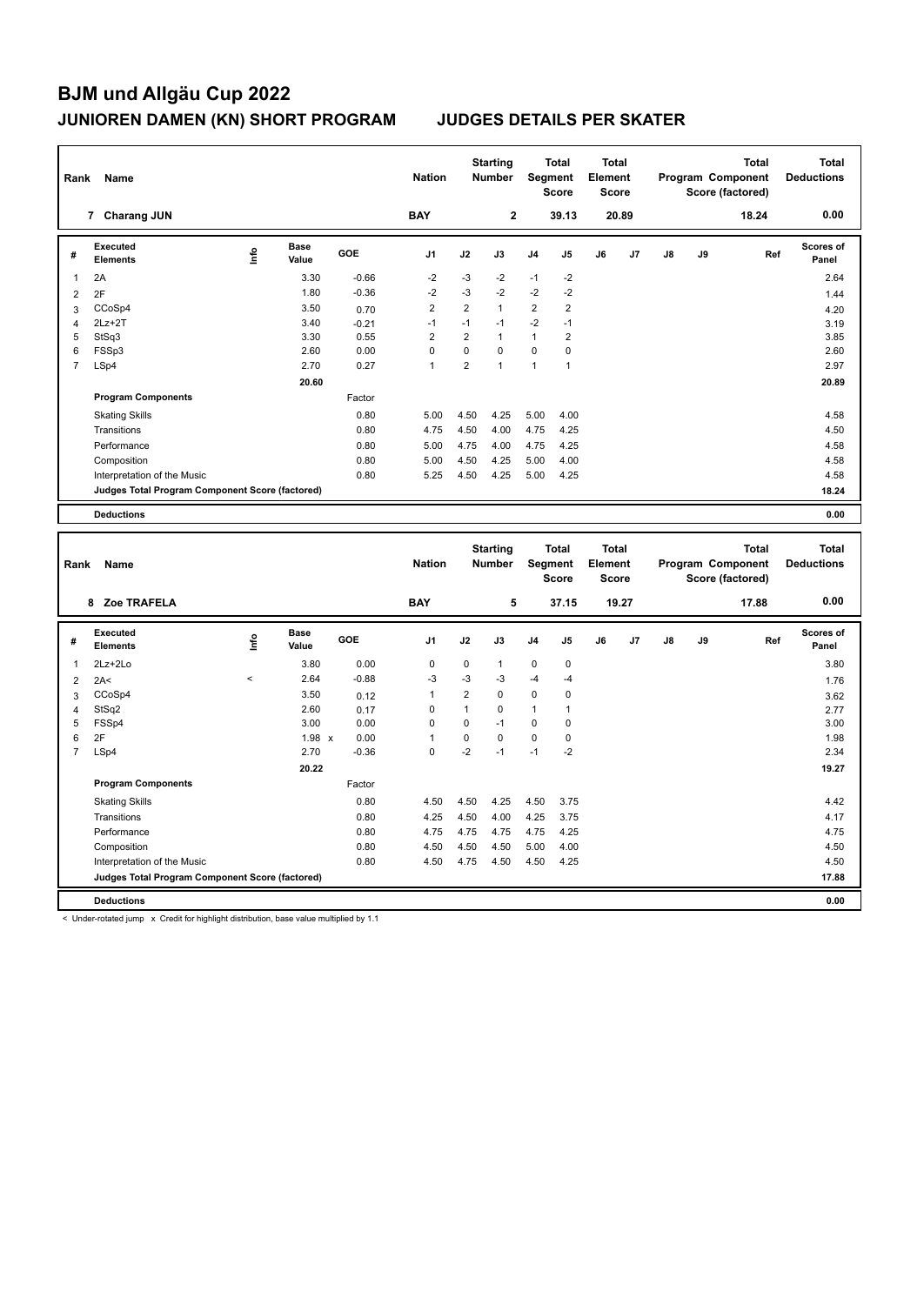| Rank | Name                                            |      |                      |            | <b>Nation</b>  |                | <b>Starting</b><br><b>Number</b> | Segment        | <b>Total</b><br><b>Score</b> | <b>Total</b><br>Element<br><b>Score</b> |                |    |    | <b>Total</b><br>Program Component<br>Score (factored) | <b>Total</b><br><b>Deductions</b> |
|------|-------------------------------------------------|------|----------------------|------------|----------------|----------------|----------------------------------|----------------|------------------------------|-----------------------------------------|----------------|----|----|-------------------------------------------------------|-----------------------------------|
|      | <b>Charang JUN</b><br>$\overline{7}$            |      |                      |            | <b>BAY</b>     |                | $\mathbf{2}$                     |                | 39.13                        |                                         | 20.89          |    |    | 18.24                                                 | 0.00                              |
| #    | Executed<br><b>Elements</b>                     | lnfo | <b>Base</b><br>Value | <b>GOE</b> | J <sub>1</sub> | J2             | J3                               | J <sub>4</sub> | J5                           | J6                                      | J <sub>7</sub> | J8 | J9 | Ref                                                   | Scores of<br>Panel                |
| 1    | 2A                                              |      | 3.30                 | $-0.66$    | $-2$           | $-3$           | $-2$                             | $-1$           | $-2$                         |                                         |                |    |    |                                                       | 2.64                              |
| 2    | 2F                                              |      | 1.80                 | $-0.36$    | $-2$           | $-3$           | $-2$                             | $-2$           | $-2$                         |                                         |                |    |    |                                                       | 1.44                              |
| 3    | CCoSp4                                          |      | 3.50                 | 0.70       | $\overline{2}$ | $\overline{2}$ | $\mathbf{1}$                     | 2              | $\overline{2}$               |                                         |                |    |    |                                                       | 4.20                              |
| 4    | $2Lz+2T$                                        |      | 3.40                 | $-0.21$    | $-1$           | $-1$           | $-1$                             | $-2$           | $-1$                         |                                         |                |    |    |                                                       | 3.19                              |
| 5    | StSq3                                           |      | 3.30                 | 0.55       | $\overline{2}$ | $\overline{2}$ | $\mathbf{1}$                     | $\mathbf{1}$   | $\overline{2}$               |                                         |                |    |    |                                                       | 3.85                              |
| 6    | FSSp3                                           |      | 2.60                 | 0.00       | 0              | $\Omega$       | $\Omega$                         | 0              | 0                            |                                         |                |    |    |                                                       | 2.60                              |
| 7    | LSp4                                            |      | 2.70                 | 0.27       | $\overline{1}$ | $\overline{2}$ | $\overline{1}$                   | $\mathbf{1}$   | $\overline{1}$               |                                         |                |    |    |                                                       | 2.97                              |
|      |                                                 |      | 20.60                |            |                |                |                                  |                |                              |                                         |                |    |    |                                                       | 20.89                             |
|      | <b>Program Components</b>                       |      |                      | Factor     |                |                |                                  |                |                              |                                         |                |    |    |                                                       |                                   |
|      | <b>Skating Skills</b>                           |      |                      | 0.80       | 5.00           | 4.50           | 4.25                             | 5.00           | 4.00                         |                                         |                |    |    |                                                       | 4.58                              |
|      | Transitions                                     |      |                      | 0.80       | 4.75           | 4.50           | 4.00                             | 4.75           | 4.25                         |                                         |                |    |    |                                                       | 4.50                              |
|      | Performance                                     |      |                      | 0.80       | 5.00           | 4.75           | 4.00                             | 4.75           | 4.25                         |                                         |                |    |    |                                                       | 4.58                              |
|      | Composition                                     |      |                      | 0.80       | 5.00           | 4.50           | 4.25                             | 5.00           | 4.00                         |                                         |                |    |    |                                                       | 4.58                              |
|      | Interpretation of the Music                     |      |                      | 0.80       | 5.25           | 4.50           | 4.25                             | 5.00           | 4.25                         |                                         |                |    |    |                                                       | 4.58                              |
|      | Judges Total Program Component Score (factored) |      |                      |            |                |                |                                  |                |                              |                                         |                |    |    |                                                       | 18.24                             |
|      | <b>Deductions</b>                               |      |                      |            |                |                |                                  |                |                              |                                         |                |    |    |                                                       | 0.00                              |

| Rank           | Name                                            |                     |                      |         | <b>Nation</b>  |                | <b>Starting</b><br><b>Number</b> |                | <b>Total</b><br>Segment<br><b>Score</b> | Total<br>Element<br><b>Score</b> |       |    |    | <b>Total</b><br>Program Component<br>Score (factored) | Total<br><b>Deductions</b> |
|----------------|-------------------------------------------------|---------------------|----------------------|---------|----------------|----------------|----------------------------------|----------------|-----------------------------------------|----------------------------------|-------|----|----|-------------------------------------------------------|----------------------------|
|                | Zoe TRAFELA<br>8                                |                     |                      |         | <b>BAY</b>     |                | 5                                |                | 37.15                                   |                                  | 19.27 |    |    | 17.88                                                 | 0.00                       |
| #              | Executed<br><b>Elements</b>                     | ۴ů                  | <b>Base</b><br>Value | GOE     | J <sub>1</sub> | J2             | J3                               | J <sub>4</sub> | J <sub>5</sub>                          | J6                               | J7    | J8 | J9 | Ref                                                   | Scores of<br>Panel         |
| 1              | $2Lz + 2Lo$                                     |                     | 3.80                 | 0.00    | 0              | $\Omega$       | $\mathbf{1}$                     | $\mathbf 0$    | $\mathbf 0$                             |                                  |       |    |    |                                                       | 3.80                       |
| 2              | 2A<                                             | $\hat{\phantom{a}}$ | 2.64                 | $-0.88$ | $-3$           | $-3$           | $-3$                             | $-4$           | $-4$                                    |                                  |       |    |    |                                                       | 1.76                       |
| 3              | CCoSp4                                          |                     | 3.50                 | 0.12    | 1              | $\overline{2}$ | $\mathbf 0$                      | $\mathbf 0$    | 0                                       |                                  |       |    |    |                                                       | 3.62                       |
| $\overline{4}$ | StSq2                                           |                     | 2.60                 | 0.17    | 0              | $\mathbf{1}$   | $\mathbf 0$                      | 1              | 1                                       |                                  |       |    |    |                                                       | 2.77                       |
| 5              | FSSp4                                           |                     | 3.00                 | 0.00    | 0              | $\mathbf 0$    | $-1$                             | $\mathbf 0$    | 0                                       |                                  |       |    |    |                                                       | 3.00                       |
| 6              | 2F                                              |                     | $1.98 \times$        | 0.00    | 1              | $\Omega$       | $\Omega$                         | $\mathbf 0$    | $\mathbf 0$                             |                                  |       |    |    |                                                       | 1.98                       |
| $\overline{7}$ | LSp4                                            |                     | 2.70                 | $-0.36$ | 0              | $-2$           | $-1$                             | $-1$           | $-2$                                    |                                  |       |    |    |                                                       | 2.34                       |
|                |                                                 |                     | 20.22                |         |                |                |                                  |                |                                         |                                  |       |    |    |                                                       | 19.27                      |
|                | <b>Program Components</b>                       |                     |                      | Factor  |                |                |                                  |                |                                         |                                  |       |    |    |                                                       |                            |
|                | <b>Skating Skills</b>                           |                     |                      | 0.80    | 4.50           | 4.50           | 4.25                             | 4.50           | 3.75                                    |                                  |       |    |    |                                                       | 4.42                       |
|                | Transitions                                     |                     |                      | 0.80    | 4.25           | 4.50           | 4.00                             | 4.25           | 3.75                                    |                                  |       |    |    |                                                       | 4.17                       |
|                | Performance                                     |                     |                      | 0.80    | 4.75           | 4.75           | 4.75                             | 4.75           | 4.25                                    |                                  |       |    |    |                                                       | 4.75                       |
|                | Composition                                     |                     |                      | 0.80    | 4.50           | 4.50           | 4.50                             | 5.00           | 4.00                                    |                                  |       |    |    |                                                       | 4.50                       |
|                | Interpretation of the Music                     |                     |                      | 0.80    | 4.50           | 4.75           | 4.50                             | 4.50           | 4.25                                    |                                  |       |    |    |                                                       | 4.50                       |
|                | Judges Total Program Component Score (factored) |                     |                      |         |                |                |                                  |                |                                         |                                  |       |    |    |                                                       | 17.88                      |
|                | <b>Deductions</b>                               |                     |                      |         |                |                |                                  |                |                                         |                                  |       |    |    |                                                       | 0.00                       |

< Under-rotated jump x Credit for highlight distribution, base value multiplied by 1.1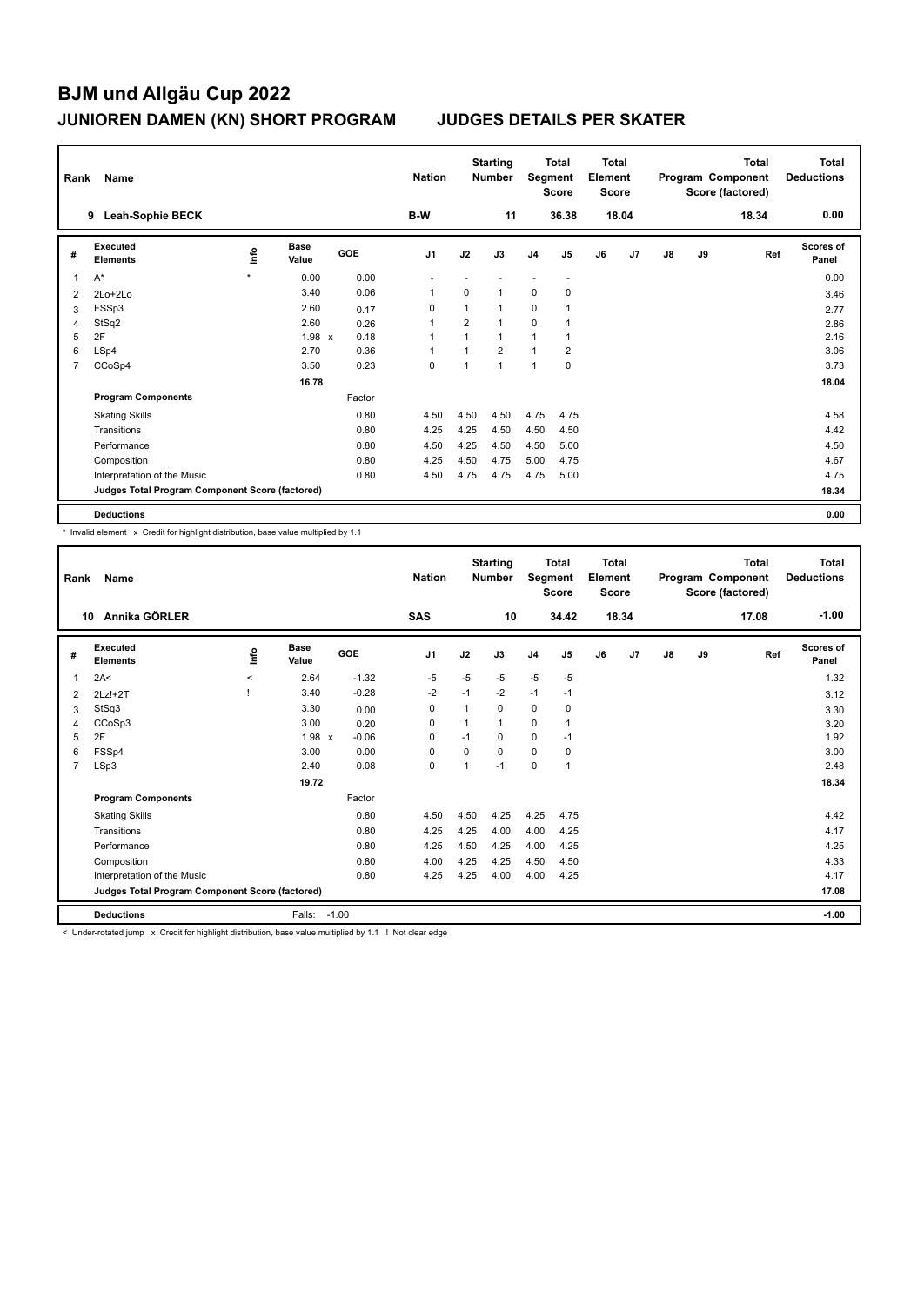| Rank           | Name                                            |         |                      |            | <b>Nation</b>  |                | <b>Starting</b><br><b>Number</b> | Segment        | <b>Total</b><br><b>Score</b> | Total<br>Element<br><b>Score</b> |       |               |    | <b>Total</b><br>Program Component<br>Score (factored) | Total<br><b>Deductions</b> |
|----------------|-------------------------------------------------|---------|----------------------|------------|----------------|----------------|----------------------------------|----------------|------------------------------|----------------------------------|-------|---------------|----|-------------------------------------------------------|----------------------------|
|                | Leah-Sophie BECK<br>9                           |         |                      |            | B-W            |                | 11                               |                | 36.38                        |                                  | 18.04 |               |    | 18.34                                                 | 0.00                       |
| #              | Executed<br><b>Elements</b>                     | ۴ů      | <b>Base</b><br>Value | <b>GOE</b> | J <sub>1</sub> | J2             | J3                               | J <sub>4</sub> | J5                           | J6                               | J7    | $\mathsf{J}8$ | J9 | Ref                                                   | <b>Scores of</b><br>Panel  |
| 1              | $A^*$                                           | $\star$ | 0.00                 | 0.00       |                |                |                                  |                |                              |                                  |       |               |    |                                                       | 0.00                       |
| 2              | 2Lo+2Lo                                         |         | 3.40                 | 0.06       | -1             | $\Omega$       | 1                                | 0              | $\mathbf 0$                  |                                  |       |               |    |                                                       | 3.46                       |
| 3              | FSSp3                                           |         | 2.60                 | 0.17       | 0              | 1              | 1                                | $\mathbf 0$    |                              |                                  |       |               |    |                                                       | 2.77                       |
| 4              | StSq2                                           |         | 2.60                 | 0.26       | 1              | $\overline{2}$ | $\overline{1}$                   | $\mathbf 0$    |                              |                                  |       |               |    |                                                       | 2.86                       |
| 5              | 2F                                              |         | $1.98 \times$        | 0.18       | $\overline{1}$ | $\mathbf{1}$   | $\mathbf{1}$                     | $\mathbf{1}$   |                              |                                  |       |               |    |                                                       | 2.16                       |
| 6              | LSp4                                            |         | 2.70                 | 0.36       | 1              |                | $\overline{2}$                   | $\mathbf{1}$   | $\overline{2}$               |                                  |       |               |    |                                                       | 3.06                       |
| $\overline{7}$ | CCoSp4                                          |         | 3.50                 | 0.23       | $\mathbf 0$    | 1              | 1                                | $\mathbf{1}$   | $\pmb{0}$                    |                                  |       |               |    |                                                       | 3.73                       |
|                |                                                 |         | 16.78                |            |                |                |                                  |                |                              |                                  |       |               |    |                                                       | 18.04                      |
|                | <b>Program Components</b>                       |         |                      | Factor     |                |                |                                  |                |                              |                                  |       |               |    |                                                       |                            |
|                | <b>Skating Skills</b>                           |         |                      | 0.80       | 4.50           | 4.50           | 4.50                             | 4.75           | 4.75                         |                                  |       |               |    |                                                       | 4.58                       |
|                | Transitions                                     |         |                      | 0.80       | 4.25           | 4.25           | 4.50                             | 4.50           | 4.50                         |                                  |       |               |    |                                                       | 4.42                       |
|                | Performance                                     |         |                      | 0.80       | 4.50           | 4.25           | 4.50                             | 4.50           | 5.00                         |                                  |       |               |    |                                                       | 4.50                       |
|                | Composition                                     |         |                      | 0.80       | 4.25           | 4.50           | 4.75                             | 5.00           | 4.75                         |                                  |       |               |    |                                                       | 4.67                       |
|                | Interpretation of the Music                     |         |                      | 0.80       | 4.50           | 4.75           | 4.75                             | 4.75           | 5.00                         |                                  |       |               |    |                                                       | 4.75                       |
|                | Judges Total Program Component Score (factored) |         |                      |            |                |                |                                  |                |                              |                                  |       |               |    |                                                       | 18.34                      |
|                | <b>Deductions</b>                               |         |                      |            |                |                |                                  |                |                              |                                  |       |               |    |                                                       | 0.00                       |

\* Invalid element x Credit for highlight distribution, base value multiplied by 1.1

| Rank           | Name                                            |          |                      |            | <b>Nation</b>  |          | <b>Starting</b><br><b>Number</b> | Segment        | <b>Total</b><br><b>Score</b> | <b>Total</b><br>Element<br><b>Score</b> |       |               |    | <b>Total</b><br>Program Component<br>Score (factored) | <b>Total</b><br><b>Deductions</b> |
|----------------|-------------------------------------------------|----------|----------------------|------------|----------------|----------|----------------------------------|----------------|------------------------------|-----------------------------------------|-------|---------------|----|-------------------------------------------------------|-----------------------------------|
| 10             | Annika GÖRLER                                   |          |                      |            | <b>SAS</b>     |          | 10                               |                | 34.42                        |                                         | 18.34 |               |    | 17.08                                                 | $-1.00$                           |
| #              | Executed<br><b>Elements</b>                     | ١nf٥     | <b>Base</b><br>Value | <b>GOE</b> | J <sub>1</sub> | J2       | J3                               | J <sub>4</sub> | J5                           | J6                                      | J7    | $\mathsf{J}8$ | J9 | Ref                                                   | <b>Scores of</b><br>Panel         |
| 1              | 2A<                                             | $\hat{}$ | 2.64                 | $-1.32$    | $-5$           | $-5$     | $-5$                             | $-5$           | $-5$                         |                                         |       |               |    |                                                       | 1.32                              |
| 2              | $2Lz!+2T$                                       |          | 3.40                 | $-0.28$    | $-2$           | $-1$     | $-2$                             | $-1$           | $-1$                         |                                         |       |               |    |                                                       | 3.12                              |
| 3              | StSq3                                           |          | 3.30                 | 0.00       | 0              |          | 0                                | 0              | 0                            |                                         |       |               |    |                                                       | 3.30                              |
| 4              | CCoSp3                                          |          | 3.00                 | 0.20       | $\Omega$       |          | 1                                | $\mathbf 0$    | 1                            |                                         |       |               |    |                                                       | 3.20                              |
| 5              | 2F                                              |          | 1.98 x               | $-0.06$    | 0              | $-1$     | 0                                | $\mathbf 0$    | $-1$                         |                                         |       |               |    |                                                       | 1.92                              |
| 6              | FSSp4                                           |          | 3.00                 | 0.00       | $\mathbf 0$    | $\Omega$ | $\Omega$                         | $\mathbf 0$    | 0                            |                                         |       |               |    |                                                       | 3.00                              |
| $\overline{7}$ | LSp3                                            |          | 2.40                 | 0.08       | $\mathbf 0$    | 1        | $-1$                             | $\mathbf 0$    | 1                            |                                         |       |               |    |                                                       | 2.48                              |
|                |                                                 |          | 19.72                |            |                |          |                                  |                |                              |                                         |       |               |    |                                                       | 18.34                             |
|                | <b>Program Components</b>                       |          |                      | Factor     |                |          |                                  |                |                              |                                         |       |               |    |                                                       |                                   |
|                | <b>Skating Skills</b>                           |          |                      | 0.80       | 4.50           | 4.50     | 4.25                             | 4.25           | 4.75                         |                                         |       |               |    |                                                       | 4.42                              |
|                | Transitions                                     |          |                      | 0.80       | 4.25           | 4.25     | 4.00                             | 4.00           | 4.25                         |                                         |       |               |    |                                                       | 4.17                              |
|                | Performance                                     |          |                      | 0.80       | 4.25           | 4.50     | 4.25                             | 4.00           | 4.25                         |                                         |       |               |    |                                                       | 4.25                              |
|                | Composition                                     |          |                      | 0.80       | 4.00           | 4.25     | 4.25                             | 4.50           | 4.50                         |                                         |       |               |    |                                                       | 4.33                              |
|                | Interpretation of the Music                     |          |                      | 0.80       | 4.25           | 4.25     | 4.00                             | 4.00           | 4.25                         |                                         |       |               |    |                                                       | 4.17                              |
|                | Judges Total Program Component Score (factored) |          |                      |            |                |          |                                  |                |                              |                                         |       |               |    |                                                       | 17.08                             |
|                | <b>Deductions</b>                               |          | Falls:               | $-1.00$    |                |          |                                  |                |                              |                                         |       |               |    |                                                       | $-1.00$                           |
|                | -                                               |          |                      |            |                |          |                                  |                |                              |                                         |       |               |    |                                                       |                                   |

< Under-rotated jump x Credit for highlight distribution, base value multiplied by 1.1 ! Not clear edge